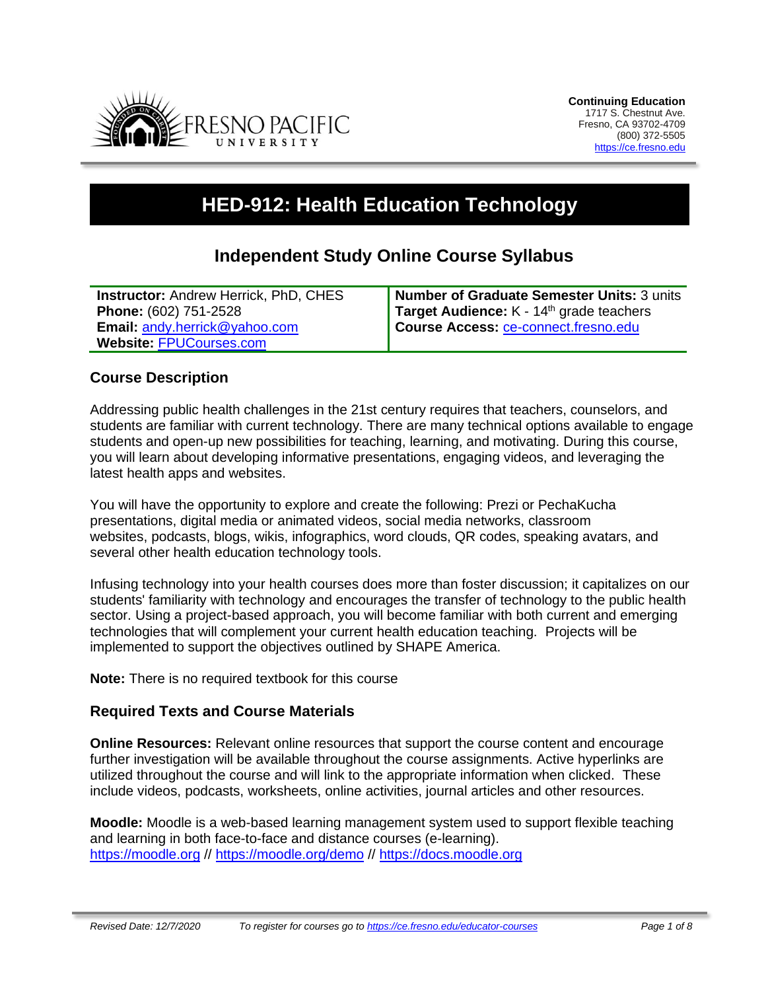

# **HED-912: Health Education Technology**

# **Independent Study Online Course Syllabus**

| <b>Instructor: Andrew Herrick, PhD, CHES</b> | <b>Number of Graduate Semester Units: 3 units</b> |
|----------------------------------------------|---------------------------------------------------|
| <b>Phone: (602) 751-2528</b>                 | Target Audience: $K - 14th$ grade teachers        |
| <b>Email: andy.herrick@yahoo.com</b>         | Course Access: ce-connect.fresno.edu              |
| Website: FPUCourses.com                      |                                                   |

#### **Course Description**

Addressing public health challenges in the 21st century requires that teachers, counselors, and students are familiar with current technology. There are many technical options available to engage students and open-up new possibilities for teaching, learning, and motivating. During this course, you will learn about developing informative presentations, engaging videos, and leveraging the latest health apps and websites.

You will have the opportunity to explore and create the following: Prezi or PechaKucha presentations, digital media or animated videos, social media networks, classroom websites, podcasts, blogs, wikis, infographics, word clouds, QR codes, speaking avatars, and several other health education technology tools.

Infusing technology into your health courses does more than foster discussion; it capitalizes on our students' familiarity with technology and encourages the transfer of technology to the public health sector. Using a project-based approach, you will become familiar with both current and emerging technologies that will complement your current health education teaching. Projects will be implemented to support the objectives outlined by SHAPE America.

**Note:** There is no required textbook for this course

## **Required Texts and Course Materials**

**Online Resources:** Relevant online resources that support the course content and encourage further investigation will be available throughout the course assignments. Active hyperlinks are utilized throughout the course and will link to the appropriate information when clicked. These include videos, podcasts, worksheets, online activities, journal articles and other resources.

**Moodle:** Moodle is a web-based learning management system used to support flexible teaching and learning in both face-to-face and distance courses (e-learning). [https://moodle.org](https://moodle.org/) // <https://moodle.org/demo> // [https://docs.moodle.org](https://docs.moodle.org/)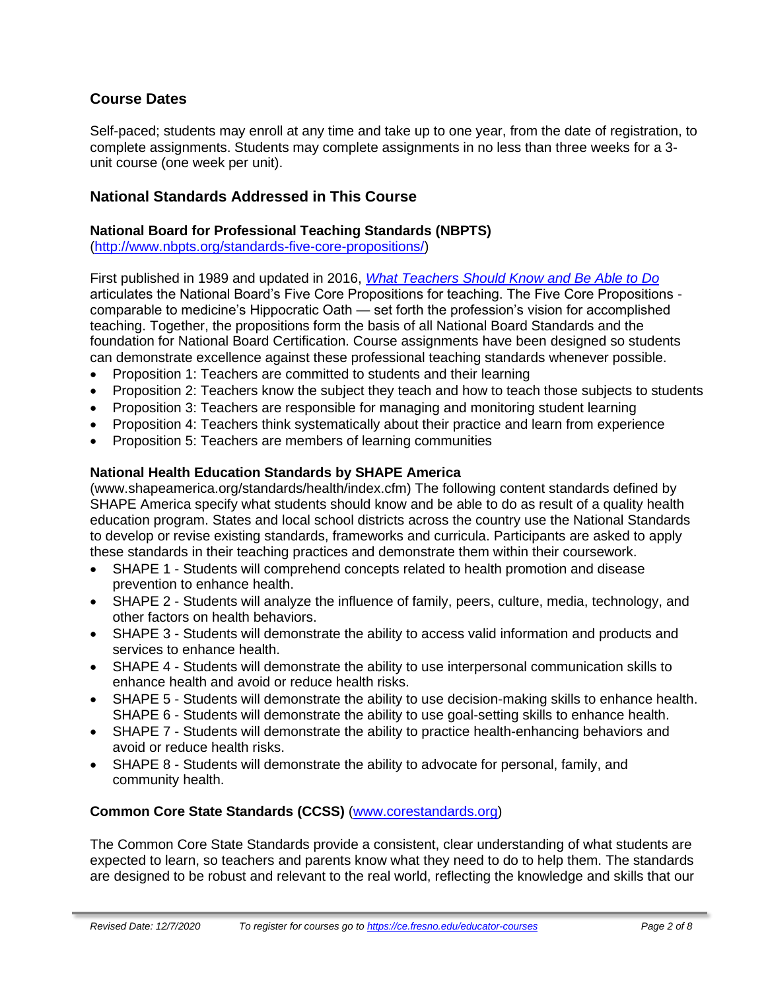## **Course Dates**

Self-paced; students may enroll at any time and take up to one year, from the date of registration, to complete assignments. Students may complete assignments in no less than three weeks for a 3 unit course (one week per unit).

#### **National Standards Addressed in This Course**

#### **National Board for Professional Teaching Standards (NBPTS)**

[\(http://www.nbpts.org/standards-five-core-propositions/\)](http://www.nbpts.org/standards-five-core-propositions/)

First published in 1989 and updated in 2016, *[What Teachers Should Know and Be Able to Do](http://www.accomplishedteacher.org/)* articulates the National Board's Five Core Propositions for teaching. The Five Core Propositions comparable to medicine's Hippocratic Oath — set forth the profession's vision for accomplished teaching. Together, the propositions form the basis of all National Board Standards and the foundation for National Board Certification. Course assignments have been designed so students can demonstrate excellence against these professional teaching standards whenever possible.

- Proposition 1: Teachers are committed to students and their learning
- Proposition 2: Teachers know the subject they teach and how to teach those subjects to students
- Proposition 3: Teachers are responsible for managing and monitoring student learning
- Proposition 4: Teachers think systematically about their practice and learn from experience
- Proposition 5: Teachers are members of learning communities

#### **National Health Education Standards by SHAPE America**

(www.shapeamerica.org/standards/health/index.cfm) The following content standards defined by SHAPE America specify what students should know and be able to do as result of a quality health education program. States and local school districts across the country use the National Standards to develop or revise existing standards, frameworks and curricula. Participants are asked to apply these standards in their teaching practices and demonstrate them within their coursework.

- SHAPE 1 Students will comprehend concepts related to health promotion and disease prevention to enhance health.
- SHAPE 2 Students will analyze the influence of family, peers, culture, media, technology, and other factors on health behaviors.
- SHAPE 3 Students will demonstrate the ability to access valid information and products and services to enhance health.
- SHAPE 4 Students will demonstrate the ability to use interpersonal communication skills to enhance health and avoid or reduce health risks.
- SHAPE 5 Students will demonstrate the ability to use decision-making skills to enhance health. SHAPE 6 - Students will demonstrate the ability to use goal-setting skills to enhance health.
- SHAPE 7 Students will demonstrate the ability to practice health-enhancing behaviors and avoid or reduce health risks.
- SHAPE 8 Students will demonstrate the ability to advocate for personal, family, and community health.

#### **Common Core State Standards (CCSS)** [\(www.corestandards.org\)](http://www.corestandards.org/)

The Common Core State Standards provide a consistent, clear understanding of what students are expected to learn, so teachers and parents know what they need to do to help them. The standards are designed to be robust and relevant to the real world, reflecting the knowledge and skills that our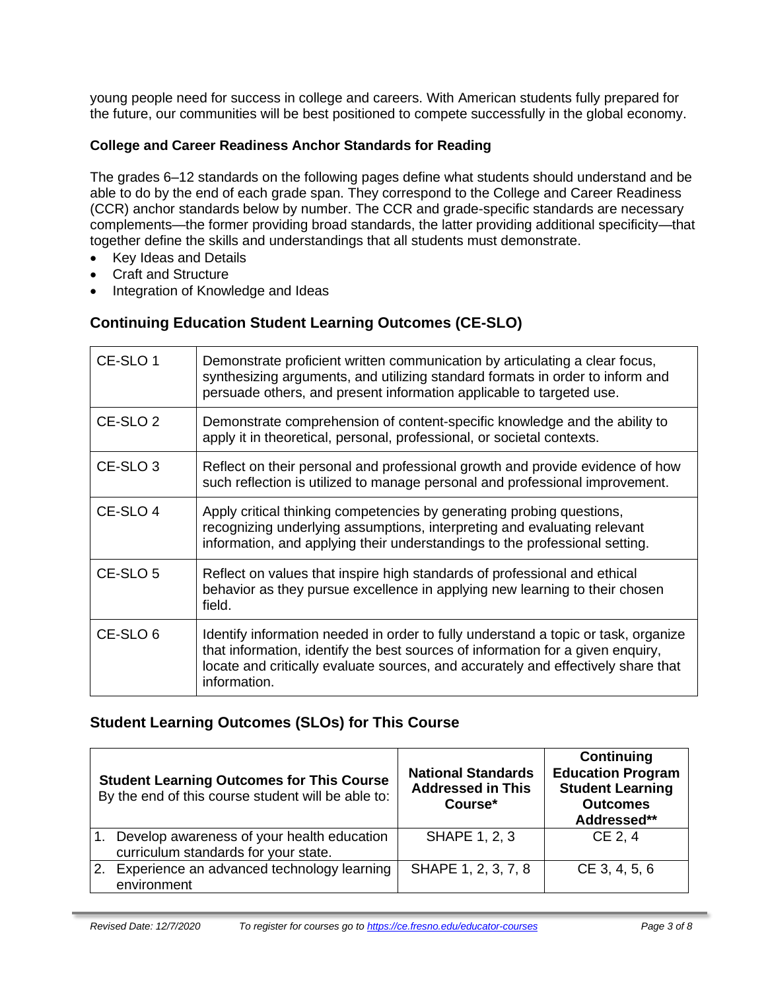young people need for success in college and careers. With American students fully prepared for the future, our communities will be best positioned to compete successfully in the global economy.

#### **College and Career Readiness Anchor Standards for Reading**

The grades 6–12 standards on the following pages define what students should understand and be able to do by the end of each grade span. They correspond to the College and Career Readiness (CCR) anchor standards below by number. The CCR and grade-specific standards are necessary complements—the former providing broad standards, the latter providing additional specificity—that together define the skills and understandings that all students must demonstrate.

- Key Ideas and Details
- Craft and Structure
- Integration of Knowledge and Ideas

## **Continuing Education Student Learning Outcomes (CE-SLO)**

| CE-SLO 1            | Demonstrate proficient written communication by articulating a clear focus,<br>synthesizing arguments, and utilizing standard formats in order to inform and<br>persuade others, and present information applicable to targeted use.                                       |
|---------------------|----------------------------------------------------------------------------------------------------------------------------------------------------------------------------------------------------------------------------------------------------------------------------|
| CE-SLO <sub>2</sub> | Demonstrate comprehension of content-specific knowledge and the ability to<br>apply it in theoretical, personal, professional, or societal contexts.                                                                                                                       |
| CE-SLO <sub>3</sub> | Reflect on their personal and professional growth and provide evidence of how<br>such reflection is utilized to manage personal and professional improvement.                                                                                                              |
| CE-SLO 4            | Apply critical thinking competencies by generating probing questions,<br>recognizing underlying assumptions, interpreting and evaluating relevant<br>information, and applying their understandings to the professional setting.                                           |
| CE-SLO <sub>5</sub> | Reflect on values that inspire high standards of professional and ethical<br>behavior as they pursue excellence in applying new learning to their chosen<br>field.                                                                                                         |
| CE-SLO <sub>6</sub> | Identify information needed in order to fully understand a topic or task, organize<br>that information, identify the best sources of information for a given enquiry,<br>locate and critically evaluate sources, and accurately and effectively share that<br>information. |

## **Student Learning Outcomes (SLOs) for This Course**

| <b>Student Learning Outcomes for This Course</b><br>By the end of this course student will be able to: | <b>National Standards</b><br><b>Addressed in This</b><br>Course* | Continuing<br><b>Education Program</b><br><b>Student Learning</b><br><b>Outcomes</b><br>Addressed** |
|--------------------------------------------------------------------------------------------------------|------------------------------------------------------------------|-----------------------------------------------------------------------------------------------------|
| Develop awareness of your health education<br>curriculum standards for your state.                     | <b>SHAPE 1, 2, 3</b>                                             | CE 2, 4                                                                                             |
| 2. Experience an advanced technology learning<br>environment                                           | SHAPE 1, 2, 3, 7, 8                                              | CE 3, 4, 5, 6                                                                                       |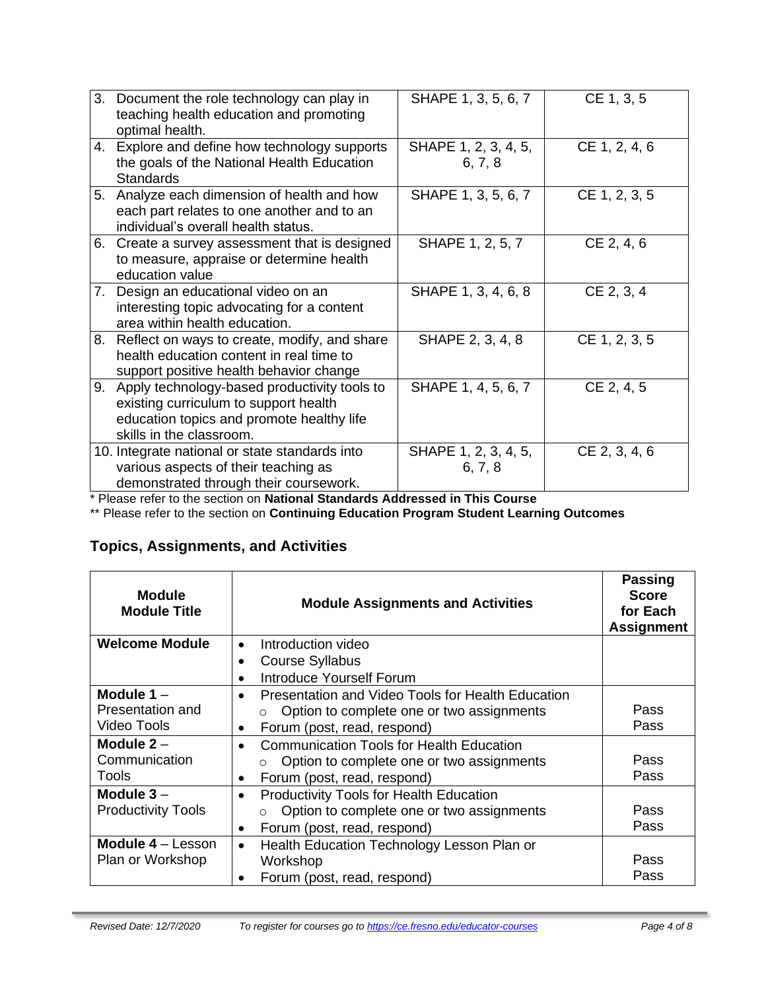| 3. Document the role technology can play in<br>teaching health education and promoting<br>optimal health.                                                         | SHAPE 1, 3, 5, 6, 7             | CE 1, 3, 5    |
|-------------------------------------------------------------------------------------------------------------------------------------------------------------------|---------------------------------|---------------|
| 4. Explore and define how technology supports<br>the goals of the National Health Education<br><b>Standards</b>                                                   | SHAPE 1, 2, 3, 4, 5,<br>6, 7, 8 | CE 1, 2, 4, 6 |
| 5. Analyze each dimension of health and how<br>each part relates to one another and to an<br>individual's overall health status.                                  | SHAPE 1, 3, 5, 6, 7             | CE 1, 2, 3, 5 |
| 6. Create a survey assessment that is designed<br>to measure, appraise or determine health<br>education value                                                     | SHAPE 1, 2, 5, 7                | CE 2, 4, 6    |
| 7. Design an educational video on an<br>interesting topic advocating for a content<br>area within health education.                                               | SHAPE 1, 3, 4, 6, 8             | CE 2, 3, 4    |
| 8. Reflect on ways to create, modify, and share<br>health education content in real time to<br>support positive health behavior change                            | SHAPE 2, 3, 4, 8                | CE 1, 2, 3, 5 |
| 9. Apply technology-based productivity tools to<br>existing curriculum to support health<br>education topics and promote healthy life<br>skills in the classroom. | SHAPE 1, 4, 5, 6, 7             | CE 2, 4, 5    |
| 10. Integrate national or state standards into<br>various aspects of their teaching as<br>demonstrated through their coursework.                                  | SHAPE 1, 2, 3, 4, 5,<br>6, 7, 8 | CE 2, 3, 4, 6 |

\* Please refer to the section on **National Standards Addressed in This Course**

\*\* Please refer to the section on **Continuing Education Program Student Learning Outcomes**

# **Topics, Assignments, and Activities**

| <b>Module</b><br><b>Module Title</b>                | <b>Module Assignments and Activities</b>                                                                                                                           | <b>Passing</b><br><b>Score</b><br>for Each<br><b>Assignment</b> |
|-----------------------------------------------------|--------------------------------------------------------------------------------------------------------------------------------------------------------------------|-----------------------------------------------------------------|
| <b>Welcome Module</b>                               | Introduction video<br>$\bullet$                                                                                                                                    |                                                                 |
|                                                     | <b>Course Syllabus</b>                                                                                                                                             |                                                                 |
|                                                     | <b>Introduce Yourself Forum</b>                                                                                                                                    |                                                                 |
| Module 1-<br>Presentation and<br><b>Video Tools</b> | Presentation and Video Tools for Health Education<br>$\bullet$<br>Option to complete one or two assignments<br>$\circ$<br>Forum (post, read, respond)<br>$\bullet$ | Pass<br>Pass                                                    |
| Module $2 -$<br>Communication<br><b>Tools</b>       | <b>Communication Tools for Health Education</b><br>Option to complete one or two assignments<br>$\circ$<br>Forum (post, read, respond)<br>$\bullet$                | Pass<br>Pass                                                    |
| Module $3 -$<br><b>Productivity Tools</b>           | <b>Productivity Tools for Health Education</b><br>$\bullet$<br>Option to complete one or two assignments<br>$\circ$<br>Forum (post, read, respond)<br>$\bullet$    | Pass<br>Pass                                                    |
| Module 4 - Lesson<br>Plan or Workshop               | Health Education Technology Lesson Plan or<br>$\bullet$<br>Workshop<br>Forum (post, read, respond)                                                                 | Pass<br>Pass                                                    |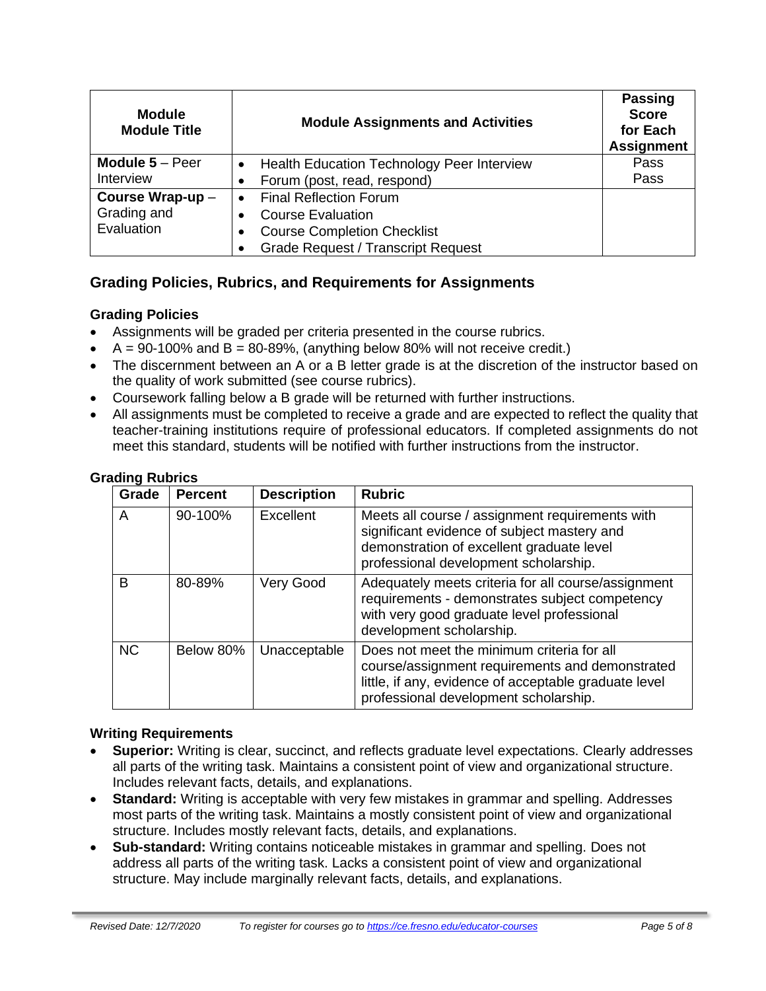| <b>Module</b><br><b>Module Title</b> | <b>Module Assignments and Activities</b>                       | <b>Passing</b><br><b>Score</b><br>for Each<br><b>Assignment</b> |
|--------------------------------------|----------------------------------------------------------------|-----------------------------------------------------------------|
| Module $5 -$ Peer                    | <b>Health Education Technology Peer Interview</b><br>$\bullet$ | Pass                                                            |
| Interview                            | Forum (post, read, respond)                                    | Pass                                                            |
| Course Wrap-up-                      | <b>Final Reflection Forum</b>                                  |                                                                 |
| Grading and                          | <b>Course Evaluation</b>                                       |                                                                 |
| Evaluation                           | <b>Course Completion Checklist</b>                             |                                                                 |
|                                      | <b>Grade Request / Transcript Request</b>                      |                                                                 |

## **Grading Policies, Rubrics, and Requirements for Assignments**

## **Grading Policies**

- Assignments will be graded per criteria presented in the course rubrics.
- $\bullet$  A = 90-100% and B = 80-89%, (anything below 80% will not receive credit.)
- The discernment between an A or a B letter grade is at the discretion of the instructor based on the quality of work submitted (see course rubrics).
- Coursework falling below a B grade will be returned with further instructions.
- All assignments must be completed to receive a grade and are expected to reflect the quality that teacher-training institutions require of professional educators. If completed assignments do not meet this standard, students will be notified with further instructions from the instructor.

| Grade     | <b>Percent</b> | <b>Description</b> | <b>Rubric</b>                                                                                                                                                                                   |
|-----------|----------------|--------------------|-------------------------------------------------------------------------------------------------------------------------------------------------------------------------------------------------|
| A         | 90-100%        | Excellent          | Meets all course / assignment requirements with<br>significant evidence of subject mastery and<br>demonstration of excellent graduate level<br>professional development scholarship.            |
| B         | 80-89%         | Very Good          | Adequately meets criteria for all course/assignment<br>requirements - demonstrates subject competency<br>with very good graduate level professional<br>development scholarship.                 |
| <b>NC</b> | Below 80%      | Unacceptable       | Does not meet the minimum criteria for all<br>course/assignment requirements and demonstrated<br>little, if any, evidence of acceptable graduate level<br>professional development scholarship. |

#### **Grading Rubrics**

#### **Writing Requirements**

- **Superior:** Writing is clear, succinct, and reflects graduate level expectations. Clearly addresses all parts of the writing task. Maintains a consistent point of view and organizational structure. Includes relevant facts, details, and explanations.
- **Standard:** Writing is acceptable with very few mistakes in grammar and spelling. Addresses most parts of the writing task. Maintains a mostly consistent point of view and organizational structure. Includes mostly relevant facts, details, and explanations.
- **Sub-standard:** Writing contains noticeable mistakes in grammar and spelling. Does not address all parts of the writing task. Lacks a consistent point of view and organizational structure. May include marginally relevant facts, details, and explanations.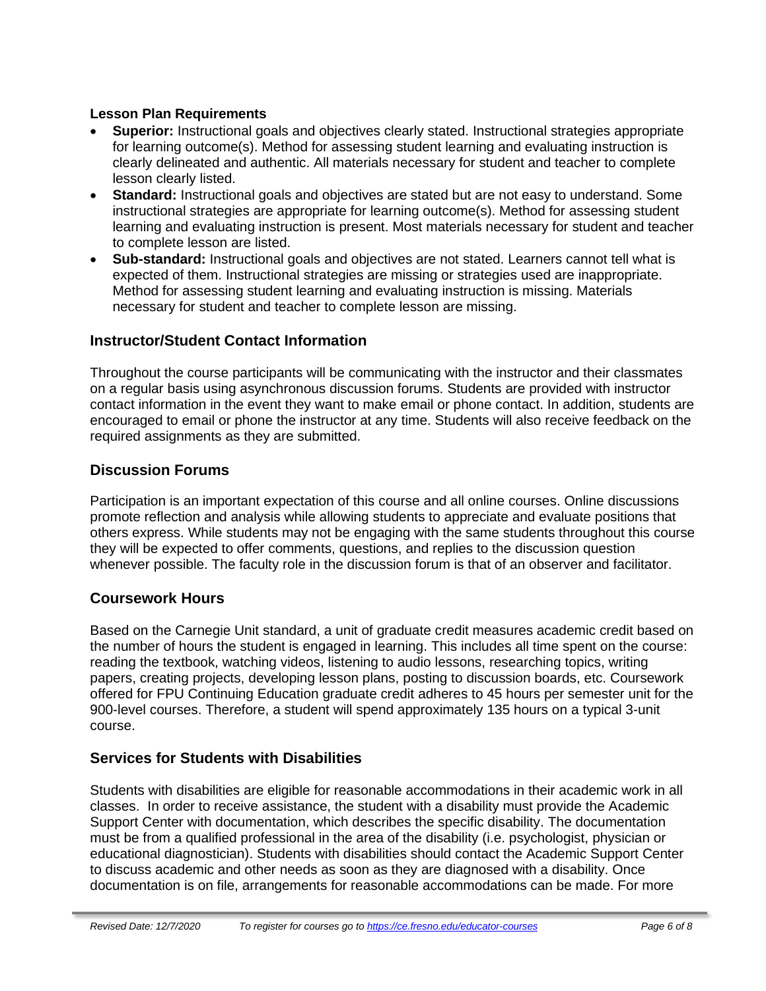#### **Lesson Plan Requirements**

- **Superior:** Instructional goals and objectives clearly stated. Instructional strategies appropriate for learning outcome(s). Method for assessing student learning and evaluating instruction is clearly delineated and authentic. All materials necessary for student and teacher to complete lesson clearly listed.
- **Standard:** Instructional goals and objectives are stated but are not easy to understand. Some instructional strategies are appropriate for learning outcome(s). Method for assessing student learning and evaluating instruction is present. Most materials necessary for student and teacher to complete lesson are listed.
- **Sub-standard:** Instructional goals and objectives are not stated. Learners cannot tell what is expected of them. Instructional strategies are missing or strategies used are inappropriate. Method for assessing student learning and evaluating instruction is missing. Materials necessary for student and teacher to complete lesson are missing.

## **Instructor/Student Contact Information**

Throughout the course participants will be communicating with the instructor and their classmates on a regular basis using asynchronous discussion forums. Students are provided with instructor contact information in the event they want to make email or phone contact. In addition, students are encouraged to email or phone the instructor at any time. Students will also receive feedback on the required assignments as they are submitted.

## **Discussion Forums**

Participation is an important expectation of this course and all online courses. Online discussions promote reflection and analysis while allowing students to appreciate and evaluate positions that others express. While students may not be engaging with the same students throughout this course they will be expected to offer comments, questions, and replies to the discussion question whenever possible. The faculty role in the discussion forum is that of an observer and facilitator.

## **Coursework Hours**

Based on the Carnegie Unit standard, a unit of graduate credit measures academic credit based on the number of hours the student is engaged in learning. This includes all time spent on the course: reading the textbook, watching videos, listening to audio lessons, researching topics, writing papers, creating projects, developing lesson plans, posting to discussion boards, etc. Coursework offered for FPU Continuing Education graduate credit adheres to 45 hours per semester unit for the 900-level courses. Therefore, a student will spend approximately 135 hours on a typical 3-unit course.

## **Services for Students with Disabilities**

Students with disabilities are eligible for reasonable accommodations in their academic work in all classes. In order to receive assistance, the student with a disability must provide the Academic Support Center with documentation, which describes the specific disability. The documentation must be from a qualified professional in the area of the disability (i.e. psychologist, physician or educational diagnostician). Students with disabilities should contact the Academic Support Center to discuss academic and other needs as soon as they are diagnosed with a disability. Once documentation is on file, arrangements for reasonable accommodations can be made. For more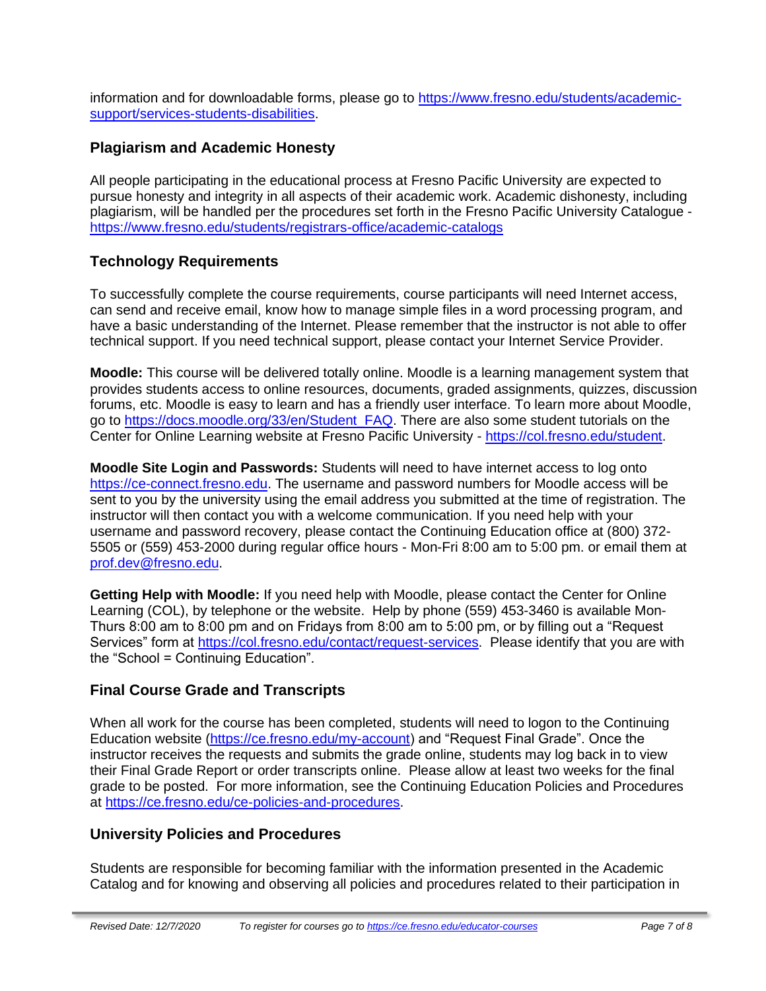information and for downloadable forms, please go to [https://www.fresno.edu/students/academic](https://www.fresno.edu/students/academic-support/services-students-disabilities)[support/services-students-disabilities.](https://www.fresno.edu/students/academic-support/services-students-disabilities)

## **Plagiarism and Academic Honesty**

All people participating in the educational process at Fresno Pacific University are expected to pursue honesty and integrity in all aspects of their academic work. Academic dishonesty, including plagiarism, will be handled per the procedures set forth in the Fresno Pacific University Catalogue <https://www.fresno.edu/students/registrars-office/academic-catalogs>

## **Technology Requirements**

To successfully complete the course requirements, course participants will need Internet access, can send and receive email, know how to manage simple files in a word processing program, and have a basic understanding of the Internet. Please remember that the instructor is not able to offer technical support. If you need technical support, please contact your Internet Service Provider.

**Moodle:** This course will be delivered totally online. Moodle is a learning management system that provides students access to online resources, documents, graded assignments, quizzes, discussion forums, etc. Moodle is easy to learn and has a friendly user interface. To learn more about Moodle, go to [https://docs.moodle.org/33/en/Student\\_FAQ.](https://docs.moodle.org/33/en/Student_FAQ) There are also some student tutorials on the Center for Online Learning website at Fresno Pacific University - [https://col.fresno.edu/student.](https://col.fresno.edu/student)

**Moodle Site Login and Passwords:** Students will need to have internet access to log onto [https://ce-connect.fresno.edu.](https://ce-connect.fresno.edu/) The username and password numbers for Moodle access will be sent to you by the university using the email address you submitted at the time of registration. The instructor will then contact you with a welcome communication. If you need help with your username and password recovery, please contact the Continuing Education office at (800) 372- 5505 or (559) 453-2000 during regular office hours - Mon-Fri 8:00 am to 5:00 pm. or email them at [prof.dev@fresno.edu.](mailto:prof.dev@fresno.edu)

**Getting Help with Moodle:** If you need help with Moodle, please contact the Center for Online Learning (COL), by telephone or the website. Help by phone (559) 453-3460 is available Mon-Thurs 8:00 am to 8:00 pm and on Fridays from 8:00 am to 5:00 pm, or by filling out a "Request Services" form at [https://col.fresno.edu/contact/request-services.](https://col.fresno.edu/contact/request-services) Please identify that you are with the "School = Continuing Education".

## **Final Course Grade and Transcripts**

When all work for the course has been completed, students will need to logon to the Continuing Education website [\(https://ce.fresno.edu/my-account\)](https://ce.fresno.edu/my-account) and "Request Final Grade". Once the instructor receives the requests and submits the grade online, students may log back in to view their Final Grade Report or order transcripts online. Please allow at least two weeks for the final grade to be posted. For more information, see the Continuing Education Policies and Procedures at [https://ce.fresno.edu/ce-policies-and-procedures.](https://ce.fresno.edu/ce-policies-and-procedures)

## **University Policies and Procedures**

Students are responsible for becoming familiar with the information presented in the Academic Catalog and for knowing and observing all policies and procedures related to their participation in